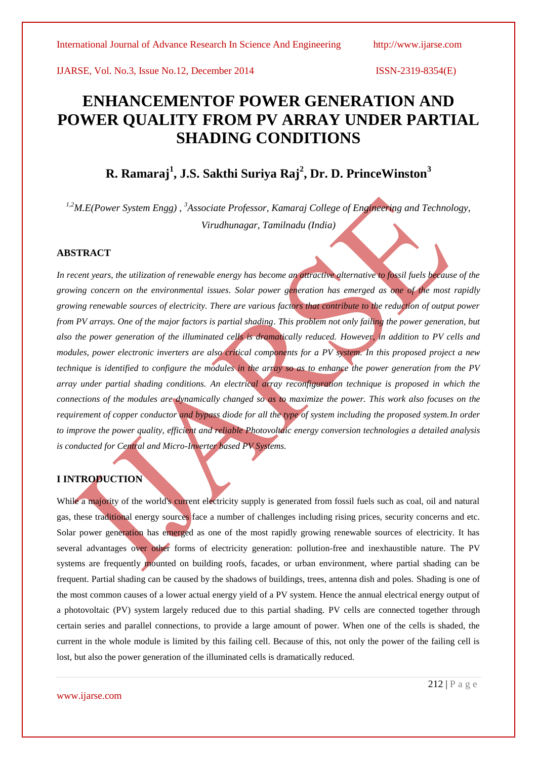# **ENHANCEMENTOF POWER GENERATION AND POWER QUALITY FROM PV ARRAY UNDER PARTIAL SHADING CONDITIONS**

# **R. Ramaraj<sup>1</sup> , J.S. Sakthi Suriya Raj<sup>2</sup> , Dr. D. PrinceWinston<sup>3</sup>**

*1,2M.E(Power System Engg) , <sup>3</sup>Associate Professor, Kamaraj College of Engineering and Technology, Virudhunagar, Tamilnadu (India)*

#### **ABSTRACT**

In recent years, the utilization of renewable energy has become an attractive alternative to fossil fuels because of the *growing concern on the environmental issues. Solar power generation has emerged as one of the most rapidly growing renewable sources of electricity. There are various factors that contribute to the reduction of output power from PV arrays. One of the major factors is partial shading. This problem not only failing the power generation, but also the power generation of the illuminated cells is dramatically reduced. However, in addition to PV cells and modules, power electronic inverters are also critical components for a PV system. In this proposed project a new technique is identified to configure the modules in the array so as to enhance the power generation from the PV array under partial shading conditions. An electrical array reconfiguration technique is proposed in which the connections of the modules are dynamically changed so as to maximize the power. This work also focuses on the requirement of copper conductor and bypass diode for all the type of system including the proposed system.In order to improve the power quality, efficient and reliable Photovoltaic energy conversion technologies a detailed analysis is conducted for Central and Micro-Inverter based PV Systems.*

# **I INTRODUCTION**

While a majority of the world's current electricity supply is generated from fossil fuels such as coal, oil and natural gas, these traditional energy sources face a number of challenges including rising prices, security concerns and etc. Solar power generation has emerged as one of the most rapidly growing renewable sources of electricity. It has several advantages over other forms of electricity generation: pollution-free and inexhaustible nature. The PV systems are frequently mounted on building roofs, facades, or urban environment, where partial shading can be frequent. Partial shading can be caused by the shadows of buildings, trees, antenna dish and poles. Shading is one of the most common causes of a lower actual energy yield of a PV system. Hence the annual electrical energy output of a photovoltaic (PV) system largely reduced due to this partial shading. PV cells are connected together through certain series and parallel connections, to provide a large amount of power. When one of the cells is shaded, the current in the whole module is limited by this failing cell. Because of this, not only the power of the failing cell is lost, but also the power generation of the illuminated cells is dramatically reduced.

www.ijarse.com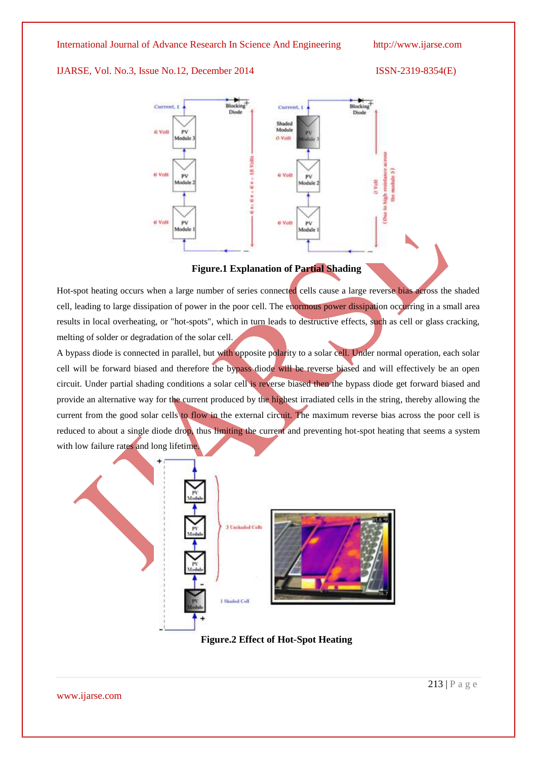#### IJARSE, Vol. No.3, Issue No.12, December 2014 ISSN-2319-8354(E)





#### **Figure.1 Explanation of Partial Shading**

Hot-spot heating occurs when a large number of series connected cells cause a large reverse bias across the shaded cell, leading to large dissipation of power in the poor cell. The enormous power dissipation occurring in a small area results in local overheating, or "hot-spots", which in turn leads to destructive effects, such as cell or glass cracking, melting of solder or degradation of the solar cell.

A bypass diode is connected in parallel, but with opposite polarity to a solar cell. Under normal operation, each solar cell will be forward biased and therefore the bypass diode will be reverse biased and will effectively be an open circuit. Under partial shading conditions a solar cell is reverse biased then the bypass diode get forward biased and provide an alternative way for the current produced by the highest irradiated cells in the string, thereby allowing the current from the good solar cells to flow in the external circuit. The maximum reverse bias across the poor cell is reduced to about a single diode drop, thus limiting the current and preventing hot-spot heating that seems a system with low failure rates and long lifetime.



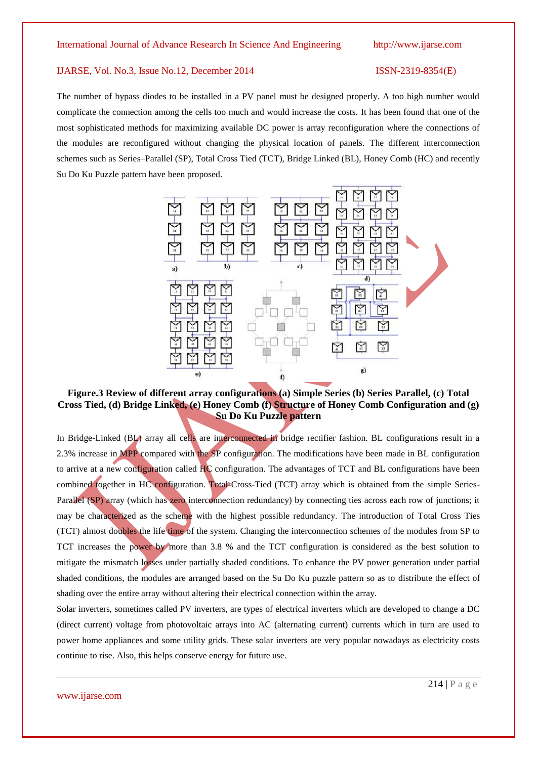The number of bypass diodes to be installed in a PV panel must be designed properly. A too high number would complicate the connection among the cells too much and would increase the costs. It has been found that one of the most sophisticated methods for maximizing available DC power is array reconfiguration where the connections of the modules are reconfigured without changing the physical location of panels. The different interconnection schemes such as Series–Parallel (SP), Total Cross Tied (TCT), Bridge Linked (BL), Honey Comb (HC) and recently Su Do Ku Puzzle pattern have been proposed.



# **Figure.3 Review of different array configurations (a) Simple Series (b) Series Parallel, (c) Total Cross Tied, (d) Bridge Linked, (e) Honey Comb (f) Structure of Honey Comb Configuration and (g) Su Do Ku Puzzle pattern**

In Bridge-Linked (BL) array all cells are interconnected in bridge rectifier fashion. BL configurations result in a 2.3% increase in MPP compared with the SP configuration. The modifications have been made in BL configuration to arrive at a new configuration called HC configuration. The advantages of TCT and BL configurations have been combined together in HC configuration. Total-Cross-Tied (TCT) array which is obtained from the simple Series-Parallel (SP) array (which has zero interconnection redundancy) by connecting ties across each row of junctions; it may be characterized as the scheme with the highest possible redundancy. The introduction of Total Cross Ties (TCT) almost doubles the life time of the system. Changing the interconnection schemes of the modules from SP to TCT increases the power by more than 3.8 % and the TCT configuration is considered as the best solution to mitigate the mismatch losses under partially shaded conditions. To enhance the PV power generation under partial shaded conditions, the modules are arranged based on the Su Do Ku puzzle pattern so as to distribute the effect of shading over the entire array without altering their electrical connection within the array.

Solar inverters, sometimes called PV inverters, are types of electrical inverters which are developed to change a DC (direct current) voltage from photovoltaic arrays into AC (alternating current) currents which in turn are used to power home appliances and some utility grids. These solar inverters are very popular nowadays as electricity costs continue to rise. Also, this helps conserve energy for future use.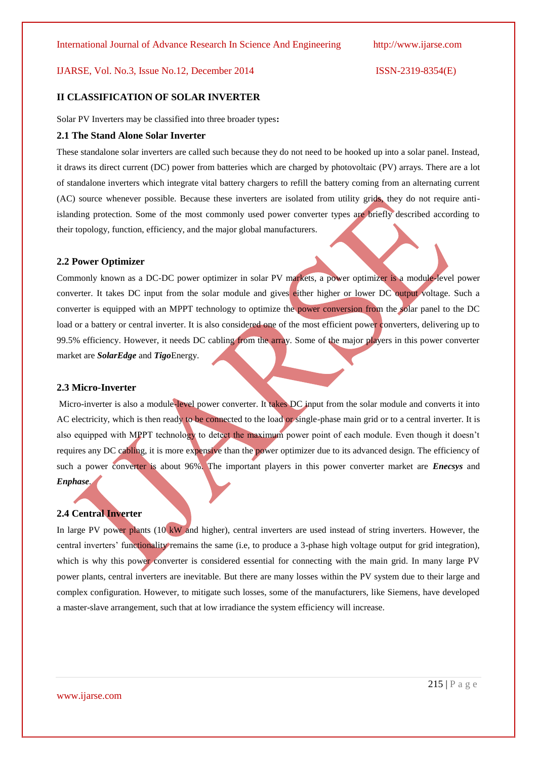#### **II CLASSIFICATION OF SOLAR INVERTER**

Solar PV Inverters may be classified into three broader types**:**

#### **2.1 The Stand Alone Solar Inverter**

These standalone solar inverters are called such because they do not need to be hooked up into a solar panel. Instead, it draws its direct current (DC) power from batteries which are charged by photovoltaic (PV) arrays. There are a lot of standalone inverters which integrate vital battery chargers to refill the battery coming from an alternating current (AC) source whenever possible. Because these inverters are isolated from utility grids, they do not require antiislanding protection. Some of the most commonly used power converter types are briefly described according to their topology, function, efficiency, and the major global manufacturers.

#### **2.2 Power Optimizer**

Commonly known as a DC-DC power optimizer in solar PV markets, a power optimizer is a module-level power converter. It takes DC input from the solar module and gives either higher or lower DC output voltage. Such a converter is equipped with an MPPT technology to optimize the power conversion from the solar panel to the DC load or a battery or central inverter. It is also considered one of the most efficient power converters, delivering up to 99.5% efficiency. However, it needs DC cabling from the array. Some of the major players in this power converter market are *SolarEdge* and *Tigo*Energy.

#### **2.3 Micro-Inverter**

Micro-inverter is also a module-level power converter. It takes DC input from the solar module and converts it into AC electricity, which is then ready to be connected to the load or single-phase main grid or to a central inverter. It is also equipped with MPPT technology to detect the maximum power point of each module. Even though it doesn't requires any DC cabling, it is more expensive than the power optimizer due to its advanced design. The efficiency of such a power converter is about 96%. The important players in this power converter market are *Enecsys* and *Enphase.*

#### **2.4 Central Inverter**

In large PV power plants (10 kW and higher), central inverters are used instead of string inverters. However, the central inverters' functionality remains the same (i.e, to produce a 3-phase high voltage output for grid integration), which is why this power converter is considered essential for connecting with the main grid. In many large PV power plants, central inverters are inevitable. But there are many losses within the PV system due to their large and complex configuration. However, to mitigate such losses, some of the manufacturers, like Siemens, have developed a master-slave arrangement, such that at low irradiance the system efficiency will increase.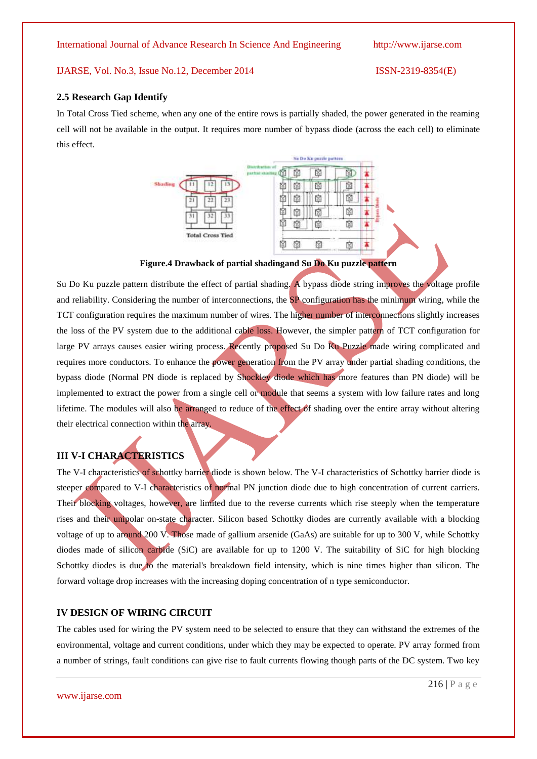#### **2.5 Research Gap Identify**

In Total Cross Tied scheme, when any one of the entire rows is partially shaded, the power generated in the reaming cell will not be available in the output. It requires more number of bypass diode (across the each cell) to eliminate this effect.



**Figure.4 Drawback of partial shadingand Su Do Ku puzzle pattern**

Su Do Ku puzzle pattern distribute the effect of partial shading. A bypass diode string improves the voltage profile and reliability. Considering the number of interconnections, the SP configuration has the minimum wiring, while the TCT configuration requires the maximum number of wires. The higher number of interconnections slightly increases the loss of the PV system due to the additional cable loss. However, the simpler pattern of TCT configuration for large PV arrays causes easier wiring process. Recently proposed Su Do Ku Puzzle made wiring complicated and requires more conductors. To enhance the power generation from the PV array under partial shading conditions, the bypass diode (Normal PN diode is replaced by Shockley diode which has more features than PN diode) will be implemented to extract the power from a single cell or module that seems a system with low failure rates and long lifetime. The modules will also be arranged to reduce of the effect of shading over the entire array without altering their electrical connection within the array.

### **III V-I CHARACTERISTICS**

The V-I characteristics of schottky barrier diode is shown below. The V-I characteristics of Schottky barrier diode is steeper compared to V-I characteristics of normal PN junction diode due to high concentration of current carriers. Their blocking voltages, however, are limited due to the reverse currents which rise steeply when the temperature rises and their unipolar on-state character. Silicon based Schottky diodes are currently available with a blocking voltage of up to around 200 V. Those made of gallium arsenide (GaAs) are suitable for up to 300 V, while Schottky diodes made of silicon carbide (SiC) are available for up to 1200 V. The suitability of SiC for high blocking Schottky diodes is due to the material's breakdown field intensity, which is nine times higher than silicon. The forward voltage drop increases with the increasing doping concentration of n type semiconductor.

#### **IV DESIGN OF WIRING CIRCUIT**

The cables used for wiring the PV system need to be selected to ensure that they can withstand the extremes of the environmental, voltage and current conditions, under which they may be expected to operate. PV array formed from a number of strings, fault conditions can give rise to fault currents flowing though parts of the DC system. Two key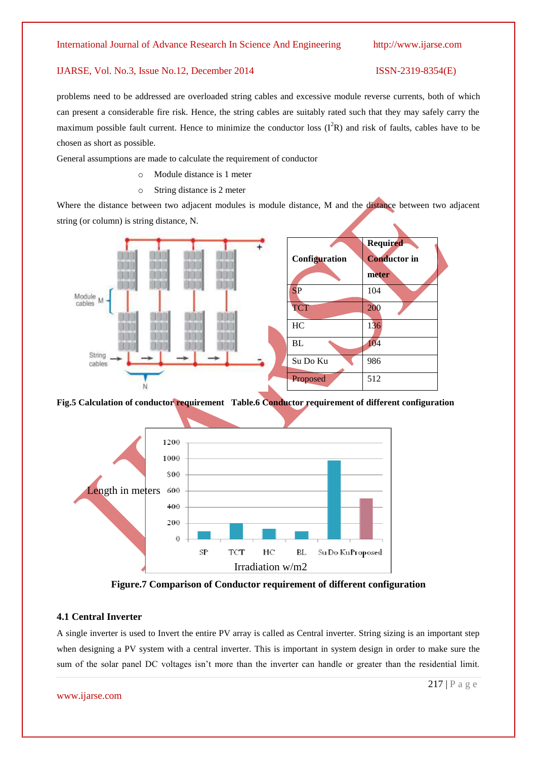problems need to be addressed are overloaded string cables and excessive module reverse currents, both of which can present a considerable fire risk. Hence, the string cables are suitably rated such that they may safely carry the maximum possible fault current. Hence to minimize the conductor loss  $(I^2R)$  and risk of faults, cables have to be chosen as short as possible.

General assumptions are made to calculate the requirement of conductor

- o Module distance is 1 meter
- o String distance is 2 meter

Where the distance between two adjacent modules is module distance, M and the distance between two adjacent string (or column) is string distance, N.



**Fig.5 Calculation of conductor requirement Table.6 Conductor requirement of different configuration** 



**Figure.7 Comparison of Conductor requirement of different configuration**

#### **4.1 Central Inverter**

A single inverter is used to Invert the entire PV array is called as Central inverter. String sizing is an important step when designing a PV system with a central inverter. This is important in system design in order to make sure the sum of the solar panel DC voltages isn't more than the inverter can handle or greater than the residential limit.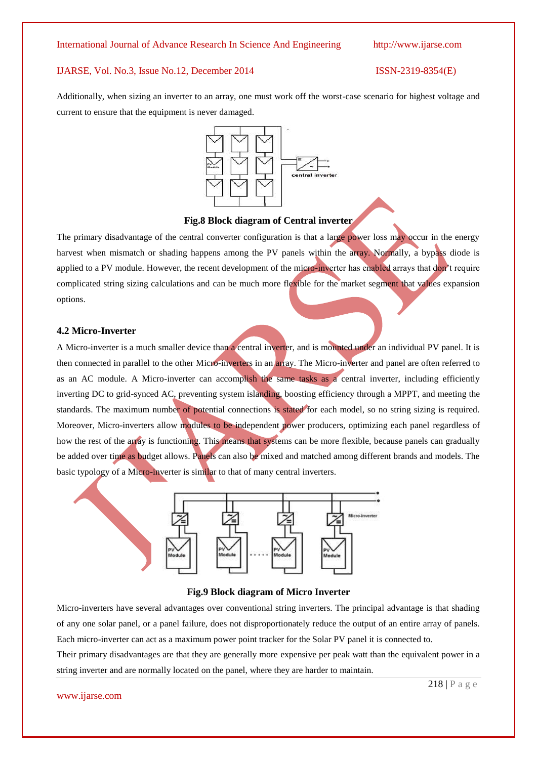Additionally, when sizing an inverter to an array, one must work off the worst-case scenario for highest voltage and current to ensure that the equipment is never damaged.



#### **Fig.8 Block diagram of Central inverter**

The primary disadvantage of the central converter configuration is that a large power loss may occur in the energy harvest when mismatch or shading happens among the PV panels within the array. Normally, a bypass diode is applied to a PV module. However, the recent development of the micro-inverter has enabled arrays that don't require complicated string sizing calculations and can be much more flexible for the market segment that values expansion options.

#### **4.2 Micro-Inverter**

A Micro-inverter is a much smaller device than a central inverter, and is mounted under an individual PV panel. It is then connected in parallel to the other Micro-inverters in an array. The Micro-inverter and panel are often referred to as an AC module. A Micro-inverter can accomplish the same tasks as a central inverter, including efficiently inverting DC to grid-synced AC, preventing system islanding, boosting efficiency through a MPPT, and meeting the standards. The maximum number of potential connections is stated for each model, so no string sizing is required. Moreover, Micro-inverters allow modules to be independent power producers, optimizing each panel regardless of how the rest of the array is functioning. This means that systems can be more flexible, because panels can gradually be added over time as budget allows. Panels can also be mixed and matched among different brands and models. The basic typology of a Micro-inverter is similar to that of many central inverters.



#### **Fig.9 Block diagram of Micro Inverter**

Micro-inverters have several advantages over conventional string inverters. The principal advantage is that shading of any one solar panel, or a panel failure, does not disproportionately reduce the output of an entire array of panels. Each micro-inverter can act as a maximum power point tracker for the Solar PV panel it is connected to.

Their primary disadvantages are that they are generally more expensive per peak watt than the equivalent power in a string inverter and are normally located on the panel, where they are harder to maintain.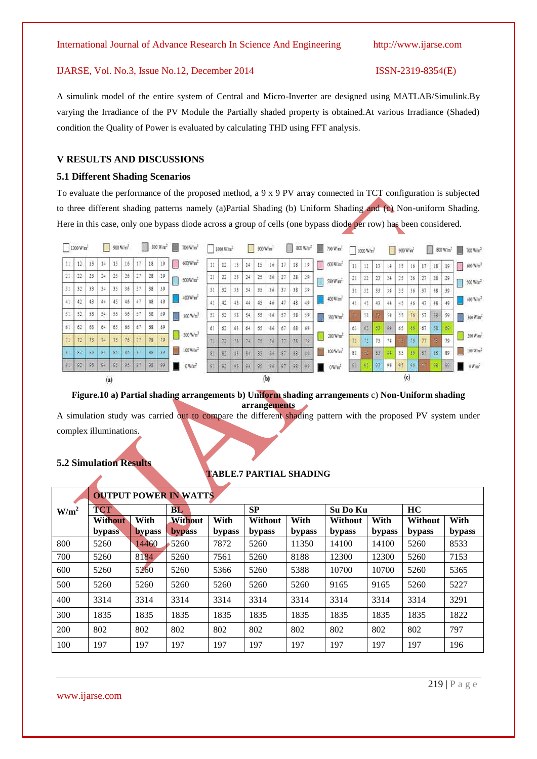A simulink model of the entire system of Central and Micro-Inverter are designed using MATLAB/Simulink.By varying the Irradiance of the PV Module the Partially shaded property is obtained.At various Irradiance (Shaded) condition the Quality of Power is evaluated by calculating THD using FFT analysis.

#### **V RESULTS AND DISCUSSIONS**

#### **5.1 Different Shading Scenarios**

To evaluate the performance of the proposed method, a 9 x 9 PV array connected in TCT configuration is subjected to three different shading patterns namely (a)Partial Shading (b) Uniform Shading and (c) Non-uniform Shading. Here in this case, only one bypass diode across a group of cells (one bypass diode per row) has been considered.



**Figure.10 a) Partial shading arrangements b) Uniform shading arrangements** c) **Non-Uniform shading arrangements**

A simulation study was carried out to compare the different shading pattern with the proposed PV system under complex illuminations.

#### **5.2 Simulation Results**

#### **TABLE.7 PARTIAL SHADING**

|         |                |               | <b>OUTPUT POWER IN WATTS</b> |        |           |        |                 |        |         |        |
|---------|----------------|---------------|------------------------------|--------|-----------|--------|-----------------|--------|---------|--------|
| $W/m^2$ | <b>TCT</b>     |               | BL                           |        | <b>SP</b> |        | <b>Su Do Ku</b> |        | HC      |        |
|         | <b>Without</b> | With          | Without                      | With   | Without   | With   | <b>Without</b>  | With   | Without | With   |
|         | <b>bypass</b>  | <b>bypass</b> | <b>bypass</b>                | bypass | bypass    | bypass | bypass          | bypass | bypass  | bypass |
| 800     | 5260           | 14460         | 5260                         | 7872   | 5260      | 11350  | 14100           | 14100  | 5260    | 8533   |
| 700     | 5260           | 8184          | 5260                         | 7561   | 5260      | 8188   | 12300           | 12300  | 5260    | 7153   |
| 600     | 5260           | 5260          | 5260                         | 5366   | 5260      | 5388   | 10700           | 10700  | 5260    | 5365   |
| 500     | 5260           | 5260          | 5260                         | 5260   | 5260      | 5260   | 9165            | 9165   | 5260    | 5227   |
| 400     | 3314           | 3314          | 3314                         | 3314   | 3314      | 3314   | 3314            | 3314   | 3314    | 3291   |
| 300     | 1835           | 1835          | 1835                         | 1835   | 1835      | 1835   | 1835            | 1835   | 1835    | 1822   |
| 200     | 802            | 802           | 802                          | 802    | 802       | 802    | 802             | 802    | 802     | 797    |
| 100     | 197            | 197           | 197                          | 197    | 197       | 197    | 197             | 197    | 197     | 196    |

www.ijarse.com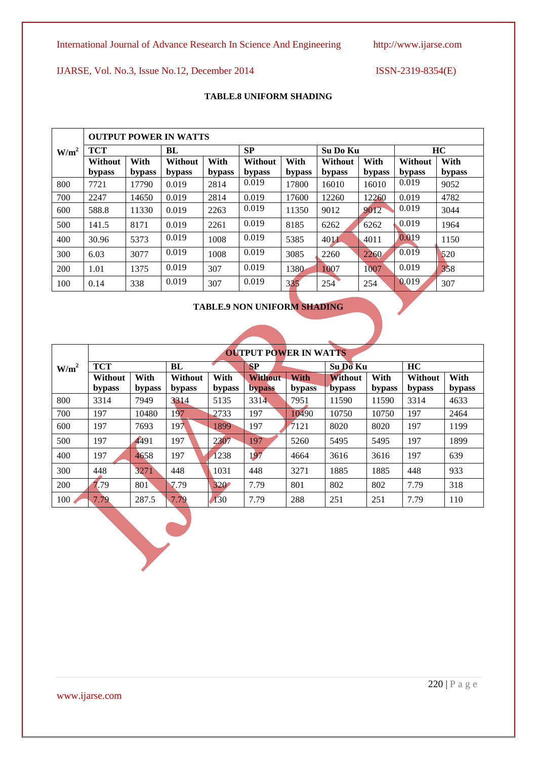www.ijarse.com

International Journal of Advance Research In Science And Engineering http://www.ijarse.com

IJARSE, Vol. No.3, Issue No.12, December 2014 ISSN-2319-8354(E)

### **TABLE.8 UNIFORM SHADING**

|                  |            |        | <b>OUTPUT POWER IN WATTS</b> |        |           |        |          |        |         |        |
|------------------|------------|--------|------------------------------|--------|-----------|--------|----------|--------|---------|--------|
| W/m <sup>2</sup> | <b>TCT</b> |        | BL                           |        | <b>SP</b> |        | Su Do Ku |        |         | HC     |
|                  | Without    | With   | Without                      | With   | Without   | With   | Without  | With   | Without | With   |
|                  | bypass     | bypass | bypass                       | bypass | bypass    | bypass | bypass   | bypass | bypass  | bypass |
| 800              | 7721       | 17790  | 0.019                        | 2814   | 0.019     | 17800  | 16010    | 16010  | 0.019   | 9052   |
| 700              | 2247       | 14650  | 0.019                        | 2814   | 0.019     | 17600  | 12260    | 12260  | 0.019   | 4782   |
| 600              | 588.8      | 11330  | 0.019                        | 2263   | 0.019     | 11350  | 9012     | 9012   | 0.019   | 3044   |
| 500              | 141.5      | 8171   | 0.019                        | 2261   | 0.019     | 8185   | 6262     | 6262   | 0.019   | 1964   |
| 400              | 30.96      | 5373   | 0.019                        | 1008   | 0.019     | 5385   | 4011     | 4011   | 0.019   | 1150   |
| 300              | 6.03       | 3077   | 0.019                        | 1008   | 0.019     | 3085   | 2260     | 2260   | 0.019   | 520    |
| 200              | 1.01       | 1375   | 0.019                        | 307    | 0.019     | 1380   | 1007     | 1007   | 0.019   | 358    |
| 100              | 0.14       | 338    | 0.019                        | 307    | 0.019     | 335    | 254      | 254    | 0.019   | 307    |

# **TABLE.9 NON UNIFORM SHADING**

|                  |            |        |         |        | <b>OUTPUT POWER IN WATTS</b> |             |                |        |         |        |
|------------------|------------|--------|---------|--------|------------------------------|-------------|----------------|--------|---------|--------|
| W/m <sup>2</sup> | <b>TCT</b> |        | BL      |        | <b>SP</b>                    |             | Su Do Ku       |        | HC      |        |
|                  | Without    | With   | Without | With   | <b>Without</b>               | <b>With</b> | <b>Without</b> | With   | Without | With   |
|                  | bypass     | bypass | bypass  | bypass | <b>bypass</b>                | bypass      | bypass         | bypass | bypass  | bypass |
| 800              | 3314       | 7949   | 3314    | 5135   | 3314                         | 7951        | 11590          | 11590  | 3314    | 4633   |
| 700              | 197        | 10480  | 197     | 2733   | 197                          | 10490       | 10750          | 10750  | 197     | 2464   |
| 600              | 197        | 7693   | 197     | 1899   | 197                          | 7121        | 8020           | 8020   | 197     | 1199   |
| 500              | 197        | 4491   | 197     | 2307   | 197                          | 5260        | 5495           | 5495   | 197     | 1899   |
| 400              | 197        | 4658   | 197     | 1238   | 197                          | 4664        | 3616           | 3616   | 197     | 639    |
| 300              | 448        | 3271   | 448     | 1031   | 448                          | 3271        | 1885           | 1885   | 448     | 933    |
| 200              | 7.79       | 801    | 7.79    | 320    | 7.79                         | 801         | 802            | 802    | 7.79    | 318    |
| 100              | 7.79       | 287.5  | 7.79    | 130    | 7.79                         | 288         | 251            | 251    | 7.79    | 110    |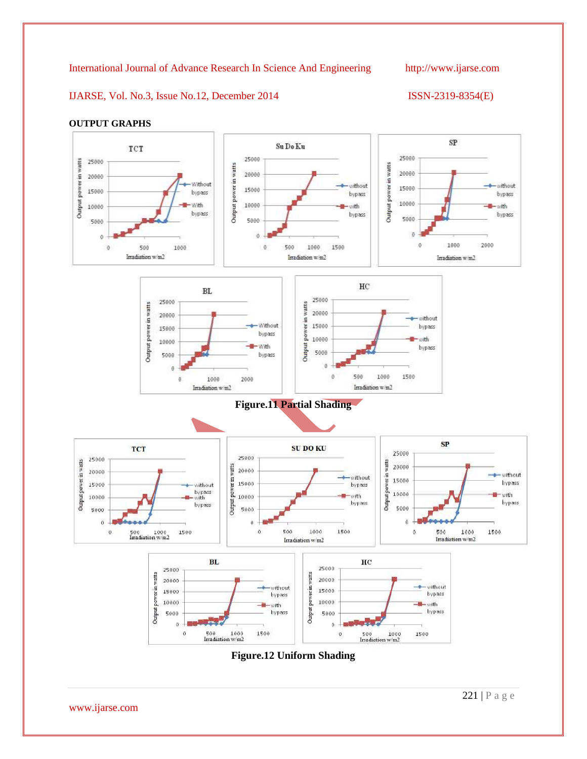IJARSE, Vol. No.3, Issue No.12, December 2014 ISSN-2319-8354(E)



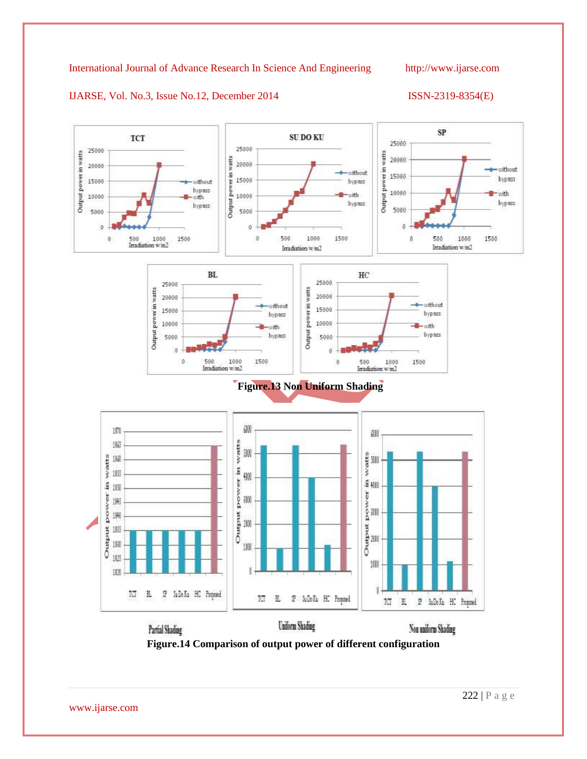IJARSE, Vol. No.3, Issue No.12, December 2014 ISSN-2319-8354(E)



**Figure.14 Comparison of output power of different configuration**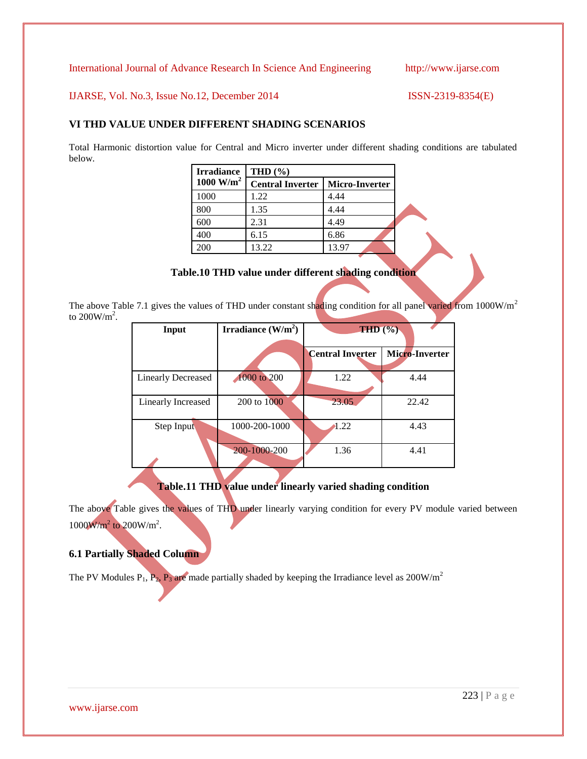IJARSE, Vol. No.3, Issue No.12, December 2014 ISSN-2319-8354(E)

# **VI THD VALUE UNDER DIFFERENT SHADING SCENARIOS**

Total Harmonic distortion value for Central and Micro inverter under different shading conditions are tabulated below.

| <b>Irradiance</b> | THD $(\% )$             |                       |  |  |
|-------------------|-------------------------|-----------------------|--|--|
| 1000 $W/m^2$      | <b>Central Inverter</b> | <b>Micro-Inverter</b> |  |  |
| 1000              | 1.22                    | 4.44                  |  |  |
| 800               | 1.35                    | 4.44                  |  |  |
| 600               | 2.31                    | 4.49                  |  |  |
| 400               | 6.15                    | 6.86                  |  |  |
| 200               | 13.22                   | 13.97                 |  |  |

### **Table.10 THD value under different shading condition**

The above Table 7.1 gives the values of THD under constant shading condition for all panel varied from 1000W/m<sup>2</sup> to  $200W/m^2$ .

| Input                     | Irradiance $(W/m^2)$ | THD <sup>(9)</sup>      |                |
|---------------------------|----------------------|-------------------------|----------------|
|                           |                      |                         |                |
|                           |                      | <b>Central Inverter</b> | Micro-Inverter |
|                           |                      |                         |                |
| <b>Linearly Decreased</b> | 1000 to 200          | 1.22                    | 4.44           |
|                           |                      |                         |                |
| <b>Linearly Increased</b> | 200 to 1000          | 23.05                   | 22.42          |
|                           |                      |                         |                |
| Step Input                | 1000-200-1000        | 1.22                    | 4.43           |
|                           |                      |                         |                |
|                           | 200-1000-200         | 1.36                    | 4.41           |
|                           |                      |                         |                |

# **Table.11 THD value under linearly varied shading condition**

The above Table gives the values of THD under linearly varying condition for every PV module varied between  $1000W/m^2$  to  $200W/m^2$ .

# **6.1 Partially Shaded Column**

The PV Modules P<sub>1</sub>, P<sub>2</sub>, P<sub>3</sub> are made partially shaded by keeping the Irradiance level as 200W/m<sup>2</sup>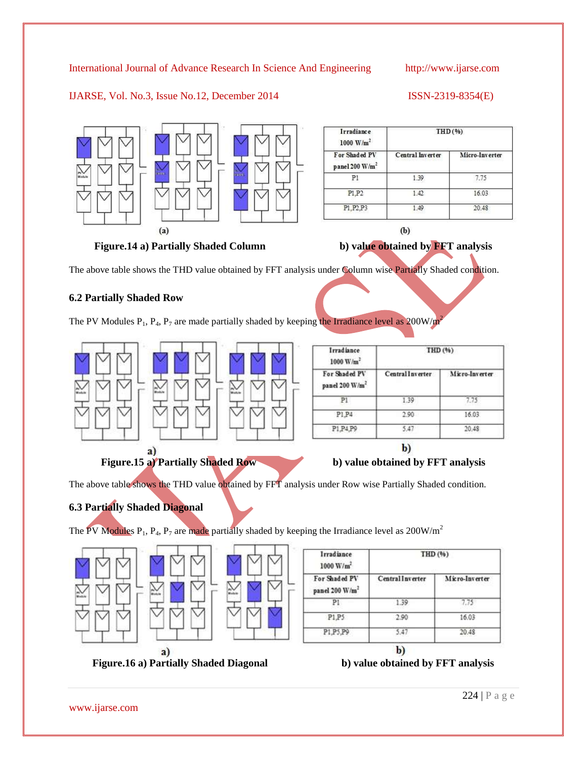## IJARSE, Vol. No.3, Issue No.12, December 2014 ISSN-2319-8354(E)



| Irradiance<br>1000 $W/m^2$                  | THD(%)           |                |  |  |
|---------------------------------------------|------------------|----------------|--|--|
| For Shaded PV<br>panel 200 W/m <sup>2</sup> | Central Inverter | Micro-Inverter |  |  |
| P1                                          | 1.39             | 7.75           |  |  |
| P1.P2                                       | 1.42.            | 16.03          |  |  |
| P1.P2.P3                                    | 1.49             | 20.48          |  |  |

 $(b)$ 

Figure.14 a) Partially Shaded Column b) value obtained by FFT analysis



The above table shows the THD value obtained by FFT analysis under Column wise Partially Shaded condition.

### **6.2 Partially Shaded Row**

The PV Modules  $P_1$ ,  $P_4$ ,  $P_7$  are made partially shaded by keeping the Irradiance level as 200W/m<sup>2</sup>



| Micro-Inverter |  |
|----------------|--|
| 7.75           |  |
| 16.03          |  |
|                |  |
|                |  |

 $\mathbf{b}$ 

The above table shows the THD value obtained by FFT analysis under Row wise Partially Shaded condition.

# **6.3 Partially Shaded Diagonal**

The PV Modules  $P_1$ ,  $P_4$ ,  $P_7$  are made partially shaded by keeping the Irradiance level as 200W/m<sup>2</sup>





| Central Inverter |                |  |
|------------------|----------------|--|
|                  | Micro-Inverter |  |
| 1.39             | 7.75           |  |
| 2.90             | 16.03          |  |
| 5.47             | 20.48          |  |
|                  | b)             |  |

**Figure.16 a) Partially Shaded Diagonal b) value obtained by FFT analysis**

www.ijarse.com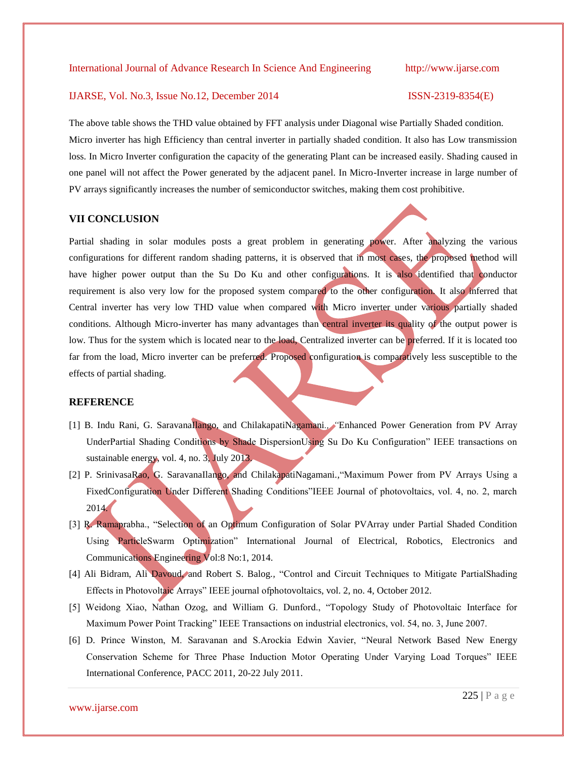#### IJARSE, Vol. No.3, Issue No.12, December 2014 ISSN-2319-8354(E)

The above table shows the THD value obtained by FFT analysis under Diagonal wise Partially Shaded condition. Micro inverter has high Efficiency than central inverter in partially shaded condition. It also has Low transmission loss. In Micro Inverter configuration the capacity of the generating Plant can be increased easily. Shading caused in one panel will not affect the Power generated by the adjacent panel. In Micro-Inverter increase in large number of PV arrays significantly increases the number of semiconductor switches, making them cost prohibitive.

### **VII CONCLUSION**

Partial shading in solar modules posts a great problem in generating power. After analyzing the various configurations for different random shading patterns, it is observed that in most cases, the proposed method will have higher power output than the Su Do Ku and other configurations. It is also identified that conductor requirement is also very low for the proposed system compared to the other configuration. It also inferred that Central inverter has very low THD value when compared with Micro inverter under various partially shaded conditions. Although Micro-inverter has many advantages than central inverter its quality of the output power is low. Thus for the system which is located near to the load, Centralized inverter can be preferred. If it is located too far from the load, Micro inverter can be preferred. Proposed configuration is comparatively less susceptible to the effects of partial shading.

#### **REFERENCE**

- [1] B. Indu Rani, G. SaravanaIlango, and ChilakapatiNagamani*., "*Enhanced Power Generation from PV Array UnderPartial Shading Conditions by Shade DispersionUsing Su Do Ku Configuration" IEEE transactions on sustainable energy, vol. 4, no. 3, July 2013.
- [2] P. SrinivasaRao, G. SaravanaIlango, and ChilakapatiNagamani*.,*"Maximum Power from PV Arrays Using a FixedConfiguration Under Different Shading Conditions"IEEE Journal of photovoltaics, vol. 4, no. 2, march 2014.
- [3] R. Ramaprabha., "Selection of an Optimum Configuration of Solar PVArray under Partial Shaded Condition Using ParticleSwarm Optimization" International Journal of Electrical, Robotics, Electronics and Communications Engineering Vol:8 No:1, 2014.
- [4] Ali Bidram, Ali Davoud, and Robert S. Balog*.,* "Control and Circuit Techniques to Mitigate PartialShading Effects in Photovoltaic Arrays" IEEE journal ofphotovoltaics, vol. 2, no. 4, October 2012.
- [5] Weidong Xiao, Nathan Ozog, and William G. Dunford., "Topology Study of Photovoltaic Interface for Maximum Power Point Tracking" IEEE Transactions on industrial electronics, vol. 54, no. 3, June 2007.
- [6] D. Prince Winston, M. Saravanan and S.Arockia Edwin Xavier, "Neural Network Based New Energy Conservation Scheme for Three Phase Induction Motor Operating Under Varying Load Torques" IEEE International Conference, PACC 2011, 20-22 July 2011.